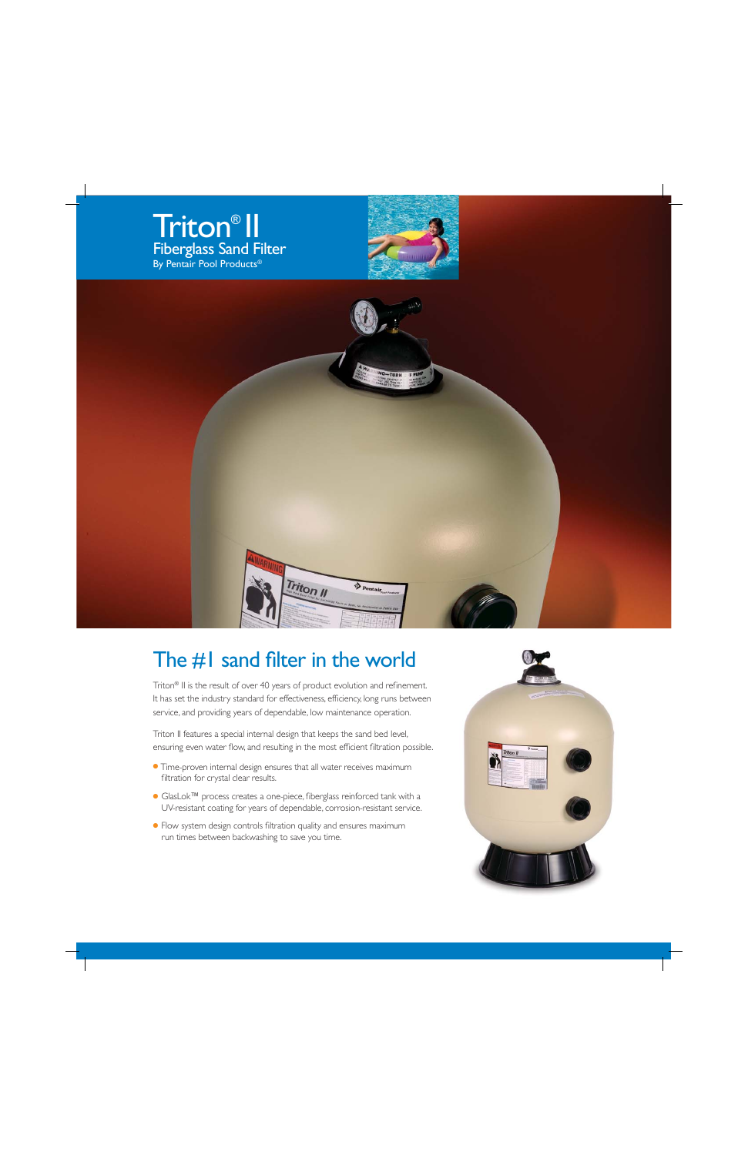





## The  $#I$  sand filter in the world

Triton<sup>®</sup> II is the result of over 40 years of product evolution and refinement. It has set the industry standard for effectiveness, efficiency, long runs between service, and providing years of dependable, low maintenance operation.

Triton II features a special internal design that keeps the sand bed level, ensuring even water flow, and resulting in the most efficient filtration possible.

- Time-proven internal design ensures that all water receives maximum filtration for crystal clear results.
- GlasLok™ process creates a one-piece, fiberglass reinforced tank with a UV-resistant coating for years of dependable, corrosion-resistant service.
- Flow system design controls filtration quality and ensures maximum run times between backwashing to save you time.